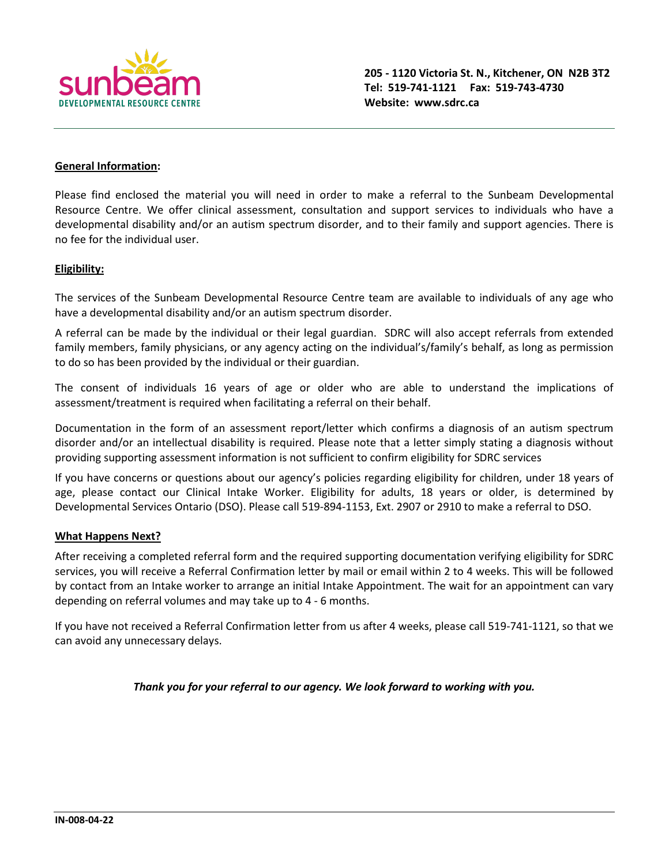

## **General Information:**

Please find enclosed the material you will need in order to make a referral to the Sunbeam Developmental Resource Centre. We offer clinical assessment, consultation and support services to individuals who have a developmental disability and/or an autism spectrum disorder, and to their family and support agencies. There is no fee for the individual user.

## **Eligibility:**

The services of the Sunbeam Developmental Resource Centre team are available to individuals of any age who have a developmental disability and/or an autism spectrum disorder.

A referral can be made by the individual or their legal guardian. SDRC will also accept referrals from extended family members, family physicians, or any agency acting on the individual's/family's behalf, as long as permission to do so has been provided by the individual or their guardian.

The consent of individuals 16 years of age or older who are able to understand the implications of assessment/treatment is required when facilitating a referral on their behalf.

Documentation in the form of an assessment report/letter which confirms a diagnosis of an autism spectrum disorder and/or an intellectual disability is required. Please note that a letter simply stating a diagnosis without providing supporting assessment information is not sufficient to confirm eligibility for SDRC services

If you have concerns or questions about our agency's policies regarding eligibility for children, under 18 years of age, please contact our Clinical Intake Worker. Eligibility for adults, 18 years or older, is determined by Developmental Services Ontario (DSO). Please call 519‐894‐1153, Ext. 2907 or 2910 to make a referral to DSO.

## **What Happens Next?**

After receiving a completed referral form and the required supporting documentation verifying eligibility for SDRC services, you will receive a Referral Confirmation letter by mail or email within 2 to 4 weeks. This will be followed by contact from an Intake worker to arrange an initial Intake Appointment. The wait for an appointment can vary depending on referral volumes and may take up to 4 - 6 months.

If you have not received a Referral Confirmation letter from us after 4 weeks, please call 519-741-1121, so that we can avoid any unnecessary delays.

*Thank you for your referral to our agency. We look forward to working with you.*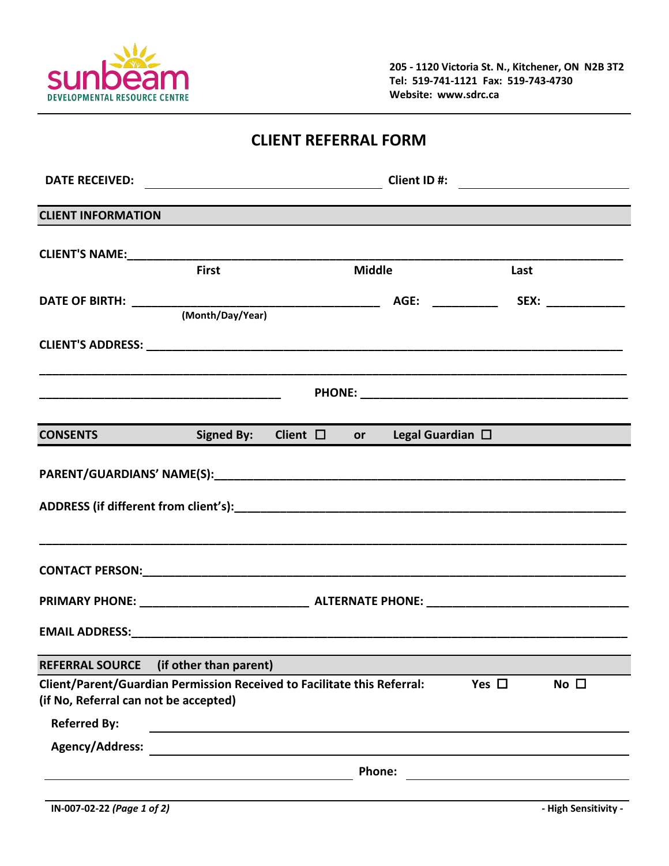

**205 - 1120 Victoria St. N., Kitchener, ON N2B 3T2 Tel: 519-741-1121 Fax: 519-743-4730 Website: www.sdrc.ca**

|  | <b>CLIENT REFERRAL FORM</b> |  |
|--|-----------------------------|--|
|--|-----------------------------|--|

| <b>CLIENT INFORMATION</b>                                                                             |                        |  |               |  |      |  |  |
|-------------------------------------------------------------------------------------------------------|------------------------|--|---------------|--|------|--|--|
|                                                                                                       |                        |  |               |  |      |  |  |
|                                                                                                       | <b>First</b>           |  | <b>Middle</b> |  | Last |  |  |
|                                                                                                       | (Month/Day/Year)       |  |               |  |      |  |  |
|                                                                                                       |                        |  |               |  |      |  |  |
|                                                                                                       |                        |  |               |  |      |  |  |
| <b>CONSENTS</b> Signed By: Client $\Box$ or Legal Guardian $\Box$                                     |                        |  |               |  |      |  |  |
|                                                                                                       |                        |  |               |  |      |  |  |
|                                                                                                       |                        |  |               |  |      |  |  |
|                                                                                                       |                        |  |               |  |      |  |  |
|                                                                                                       |                        |  |               |  |      |  |  |
| <b>REFERRAL SOURCE</b>                                                                                | (if other than parent) |  |               |  |      |  |  |
| No $\square$<br>Client/Parent/Guardian Permission Received to Facilitate this Referral:<br>Yes $\Box$ |                        |  |               |  |      |  |  |
| (if No, Referral can not be accepted)                                                                 |                        |  |               |  |      |  |  |
| <b>Referred By:</b>                                                                                   |                        |  |               |  |      |  |  |
| Agency/Address:                                                                                       |                        |  |               |  |      |  |  |
|                                                                                                       | <b>Phone:</b>          |  |               |  |      |  |  |
|                                                                                                       |                        |  |               |  |      |  |  |